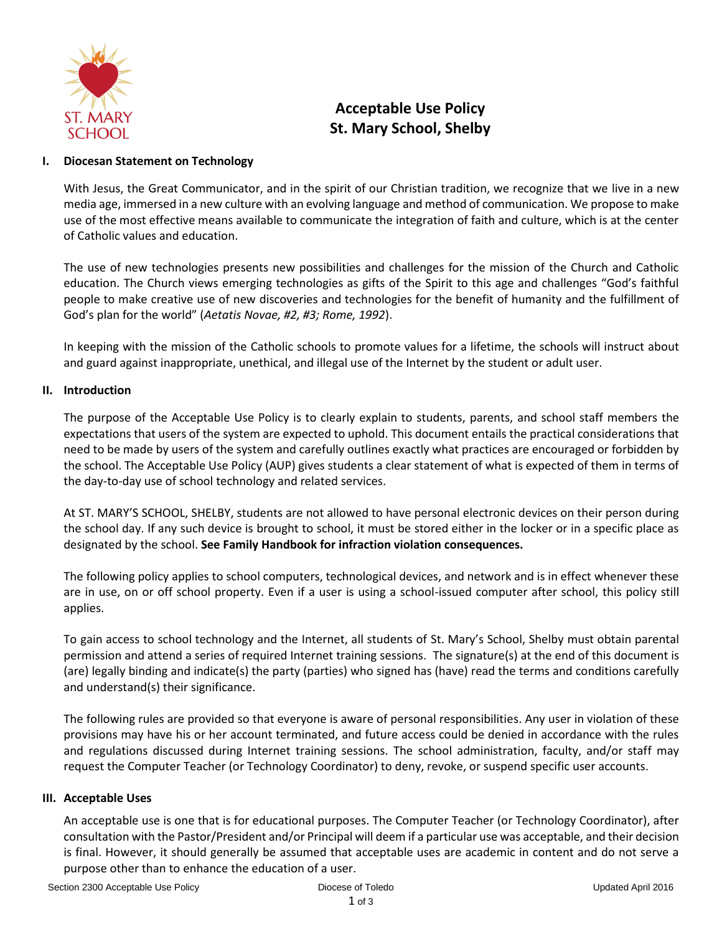

# **Acceptable Use Policy St. Mary School, Shelby**

### **I. Diocesan Statement on Technology**

With Jesus, the Great Communicator, and in the spirit of our Christian tradition, we recognize that we live in a new media age, immersed in a new culture with an evolving language and method of communication. We propose to make use of the most effective means available to communicate the integration of faith and culture, which is at the center of Catholic values and education.

The use of new technologies presents new possibilities and challenges for the mission of the Church and Catholic education. The Church views emerging technologies as gifts of the Spirit to this age and challenges "God's faithful people to make creative use of new discoveries and technologies for the benefit of humanity and the fulfillment of God's plan for the world" (*Aetatis Novae, #2, #3; Rome, 1992*).

In keeping with the mission of the Catholic schools to promote values for a lifetime, the schools will instruct about and guard against inappropriate, unethical, and illegal use of the Internet by the student or adult user.

# **II. Introduction**

The purpose of the Acceptable Use Policy is to clearly explain to students, parents, and school staff members the expectations that users of the system are expected to uphold. This document entails the practical considerations that need to be made by users of the system and carefully outlines exactly what practices are encouraged or forbidden by the school. The Acceptable Use Policy (AUP) gives students a clear statement of what is expected of them in terms of the day-to-day use of school technology and related services.

At ST. MARY'S SCHOOL, SHELBY, students are not allowed to have personal electronic devices on their person during the school day. If any such device is brought to school, it must be stored either in the locker or in a specific place as designated by the school. **See Family Handbook for infraction violation consequences.**

The following policy applies to school computers, technological devices, and network and is in effect whenever these are in use, on or off school property. Even if a user is using a school-issued computer after school, this policy still applies.

To gain access to school technology and the Internet, all students of St. Mary's School, Shelby must obtain parental permission and attend a series of required Internet training sessions. The signature(s) at the end of this document is (are) legally binding and indicate(s) the party (parties) who signed has (have) read the terms and conditions carefully and understand(s) their significance.

The following rules are provided so that everyone is aware of personal responsibilities. Any user in violation of these provisions may have his or her account terminated, and future access could be denied in accordance with the rules and regulations discussed during Internet training sessions. The school administration, faculty, and/or staff may request the Computer Teacher (or Technology Coordinator) to deny, revoke, or suspend specific user accounts.

#### **III. Acceptable Uses**

An acceptable use is one that is for educational purposes. The Computer Teacher (or Technology Coordinator), after consultation with the Pastor/President and/or Principal will deem if a particular use was acceptable, and their decision is final. However, it should generally be assumed that acceptable uses are academic in content and do not serve a purpose other than to enhance the education of a user.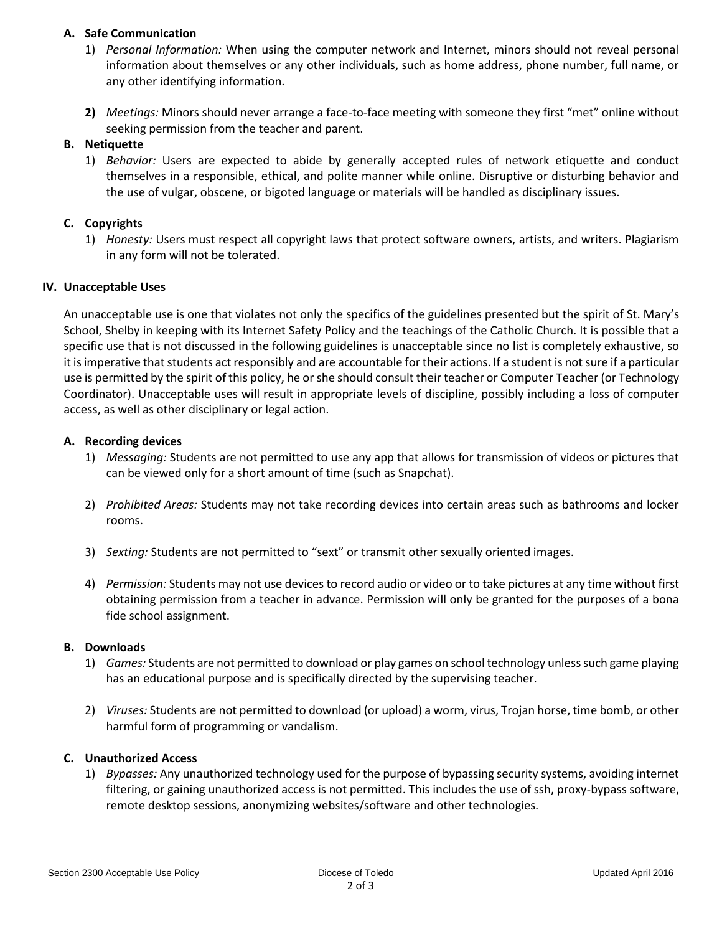#### **A. Safe Communication**

- 1) *Personal Information:* When using the computer network and Internet, minors should not reveal personal information about themselves or any other individuals, such as home address, phone number, full name, or any other identifying information.
- **2)** *Meetings:* Minors should never arrange a face-to-face meeting with someone they first "met" online without seeking permission from the teacher and parent.

#### **B. Netiquette**

1) *Behavior:* Users are expected to abide by generally accepted rules of network etiquette and conduct themselves in a responsible, ethical, and polite manner while online. Disruptive or disturbing behavior and the use of vulgar, obscene, or bigoted language or materials will be handled as disciplinary issues.

# **C. Copyrights**

1) *Honesty:* Users must respect all copyright laws that protect software owners, artists, and writers. Plagiarism in any form will not be tolerated.

#### **IV. Unacceptable Uses**

An unacceptable use is one that violates not only the specifics of the guidelines presented but the spirit of St. Mary's School, Shelby in keeping with its Internet Safety Policy and the teachings of the Catholic Church. It is possible that a specific use that is not discussed in the following guidelines is unacceptable since no list is completely exhaustive, so it is imperative that students act responsibly and are accountable for their actions. If a student is not sure if a particular use is permitted by the spirit of this policy, he or she should consult their teacher or Computer Teacher (or Technology Coordinator). Unacceptable uses will result in appropriate levels of discipline, possibly including a loss of computer access, as well as other disciplinary or legal action.

#### **A. Recording devices**

- 1) *Messaging:* Students are not permitted to use any app that allows for transmission of videos or pictures that can be viewed only for a short amount of time (such as Snapchat).
- 2) *Prohibited Areas:* Students may not take recording devices into certain areas such as bathrooms and locker rooms.
- 3) *Sexting:* Students are not permitted to "sext" or transmit other sexually oriented images.
- 4) *Permission:* Students may not use devices to record audio or video or to take pictures at any time without first obtaining permission from a teacher in advance. Permission will only be granted for the purposes of a bona fide school assignment.

#### **B. Downloads**

- 1) *Games:* Students are not permitted to download or play games on school technology unless such game playing has an educational purpose and is specifically directed by the supervising teacher.
- 2) *Viruses:* Students are not permitted to download (or upload) a worm, virus, Trojan horse, time bomb, or other harmful form of programming or vandalism.

# **C. Unauthorized Access**

1) *Bypasses:* Any unauthorized technology used for the purpose of bypassing security systems, avoiding internet filtering, or gaining unauthorized access is not permitted. This includes the use of ssh, proxy-bypass software, remote desktop sessions, anonymizing websites/software and other technologies.